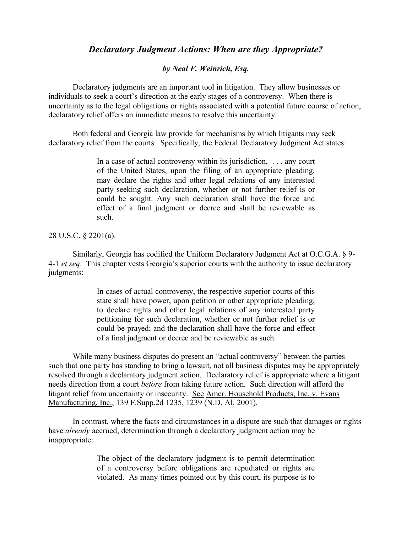## *Declaratory Judgment Actions: When are they Appropriate?*

## *by Neal F. Weinrich, Esq.*

Declaratory judgments are an important tool in litigation. They allow businesses or individuals to seek a court's direction at the early stages of a controversy. When there is uncertainty as to the legal obligations or rights associated with a potential future course of action, declaratory relief offers an immediate means to resolve this uncertainty.

Both federal and Georgia law provide for mechanisms by which litigants may seek declaratory relief from the courts. Specifically, the Federal Declaratory Judgment Act states:

> In a case of actual controversy within its jurisdiction, . . . any court of the United States, upon the filing of an appropriate pleading, may declare the rights and other legal relations of any interested party seeking such declaration, whether or not further relief is or could be sought. Any such declaration shall have the force and effect of a final judgment or decree and shall be reviewable as such.

## 28 U.S.C. § 2201(a).

Similarly, Georgia has codified the Uniform Declaratory Judgment Act at O.C.G.A. § 9- 4-1 *et seq*. This chapter vests Georgia's superior courts with the authority to issue declaratory judgments:

> In cases of actual controversy, the respective superior courts of this state shall have power, upon petition or other appropriate pleading, to declare rights and other legal relations of any interested party petitioning for such declaration, whether or not further relief is or could be prayed; and the declaration shall have the force and effect of a final judgment or decree and be reviewable as such.

While many business disputes do present an "actual controversy" between the parties such that one party has standing to bring a lawsuit, not all business disputes may be appropriately resolved through a declaratory judgment action. Declaratory relief is appropriate where a litigant needs direction from a court *before* from taking future action. Such direction will afford the litigant relief from uncertainty or insecurity. See Amer. Household Products, Inc. v. Evans Manufacturing, Inc., 139 F.Supp.2d 1235, 1239 (N.D. Al. 2001).

In contrast, where the facts and circumstances in a dispute are such that damages or rights have *already* accrued, determination through a declaratory judgment action may be inappropriate:

> The object of the declaratory judgment is to permit determination of a controversy before obligations are repudiated or rights are violated. As many times pointed out by this court, its purpose is to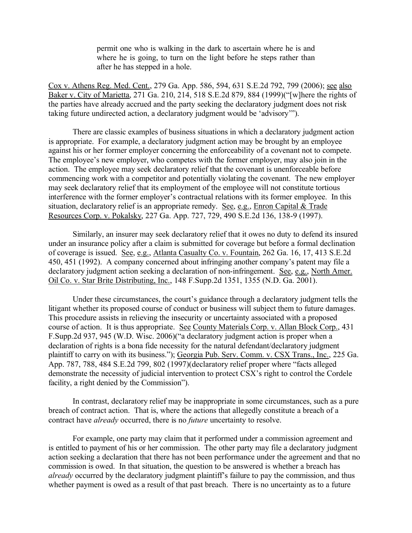permit one who is walking in the dark to ascertain where he is and where he is going, to turn on the light before he steps rather than after he has stepped in a hole.

Cox v. Athens Reg. Med. Cent., 279 Ga. App. 586, 594, 631 S.E.2d 792, 799 (2006); see also Baker v. City of Marietta, 271 Ga. 210, 214, 518 S.E.2d 879, 884 (1999)("[w]here the rights of the parties have already accrued and the party seeking the declaratory judgment does not risk taking future undirected action, a declaratory judgment would be 'advisory'").

There are classic examples of business situations in which a declaratory judgment action is appropriate. For example, a declaratory judgment action may be brought by an employee against his or her former employer concerning the enforceability of a covenant not to compete. The employee's new employer, who competes with the former employer, may also join in the action. The employee may seek declaratory relief that the covenant is unenforceable before commencing work with a competitor and potentially violating the covenant. The new employer may seek declaratory relief that its employment of the employee will not constitute tortious interference with the former employer's contractual relations with its former employee. In this situation, declaratory relief is an appropriate remedy. See, e.g., Enron Capital  $&$  Trade Resources Corp. v. Pokalsky, 227 Ga. App. 727, 729, 490 S.E.2d 136, 138-9 (1997).

Similarly, an insurer may seek declaratory relief that it owes no duty to defend its insured under an insurance policy after a claim is submitted for coverage but before a formal declination of coverage is issued. See, e.g., Atlanta Casualty Co. v. Fountain, 262 Ga. 16, 17, 413 S.E.2d 450, 451 (1992). A company concerned about infringing another company's patent may file a declaratory judgment action seeking a declaration of non-infringement. See, e.g., North Amer. Oil Co. v. Star Brite Distributing, Inc., 148 F.Supp.2d 1351, 1355 (N.D. Ga. 2001).

Under these circumstances, the court's guidance through a declaratory judgment tells the litigant whether its proposed course of conduct or business will subject them to future damages. This procedure assists in relieving the insecurity or uncertainty associated with a proposed course of action. It is thus appropriate. See County Materials Corp. v. Allan Block Corp., 431 F.Supp.2d 937, 945 (W.D. Wisc. 2006)("a declaratory judgment action is proper when a declaration of rights is a bona fide necessity for the natural defendant/declaratory judgment plaintiff to carry on with its business."); Georgia Pub. Serv. Comm. v. CSX Trans., Inc., 225 Ga. App. 787, 788, 484 S.E.2d 799, 802 (1997)(declaratory relief proper where "facts alleged demonstrate the necessity of judicial intervention to protect CSX's right to control the Cordele facility, a right denied by the Commission").

In contrast, declaratory relief may be inappropriate in some circumstances, such as a pure breach of contract action. That is, where the actions that allegedly constitute a breach of a contract have *already* occurred, there is no *future* uncertainty to resolve.

For example, one party may claim that it performed under a commission agreement and is entitled to payment of his or her commission. The other party may file a declaratory judgment action seeking a declaration that there has not been performance under the agreement and that no commission is owed. In that situation, the question to be answered is whether a breach has *already* occurred by the declaratory judgment plaintiff's failure to pay the commission, and thus whether payment is owed as a result of that past breach. There is no uncertainty as to a future